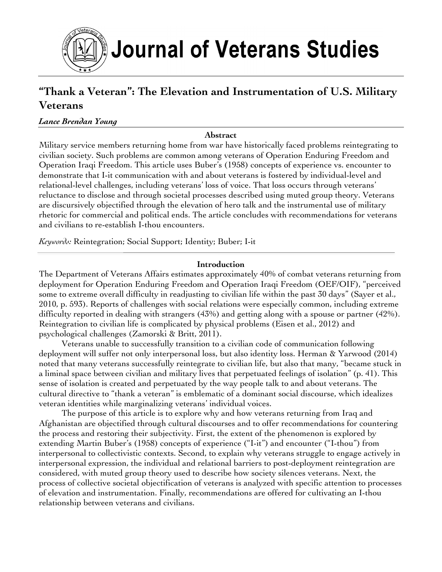

# **"Thank a Veteran": The Elevation and Instrumentation of U.S. Military Veterans**

#### *Lance Brendan Young*

**Abstract** 

Military service members returning home from war have historically faced problems reintegrating to civilian society. Such problems are common among veterans of Operation Enduring Freedom and Operation Iraqi Freedom. This article uses Buber's (1958) concepts of experience vs. encounter to demonstrate that I-it communication with and about veterans is fostered by individual-level and relational-level challenges, including veterans' loss of voice. That loss occurs through veterans' reluctance to disclose and through societal processes described using muted group theory. Veterans are discursively objectified through the elevation of hero talk and the instrumental use of military rhetoric for commercial and political ends. The article concludes with recommendations for veterans and civilians to re-establish I-thou encounters.

*Keywords:* Reintegration; Social Support; Identity; Buber; I-it

#### **Introduction**

The Department of Veterans Affairs estimates approximately 40% of combat veterans returning from deployment for Operation Enduring Freedom and Operation Iraqi Freedom (OEF/OIF), "perceived some to extreme overall difficulty in readjusting to civilian life within the past 30 days" (Sayer et al., 2010, p. 593). Reports of challenges with social relations were especially common, including extreme difficulty reported in dealing with strangers (43%) and getting along with a spouse or partner (42%). Reintegration to civilian life is complicated by physical problems (Eisen et al., 2012) and psychological challenges (Zamorski & Britt, 2011).

Veterans unable to successfully transition to a civilian code of communication following deployment will suffer not only interpersonal loss, but also identity loss. Herman & Yarwood (2014) noted that many veterans successfully reintegrate to civilian life, but also that many, "became stuck in a liminal space between civilian and military lives that perpetuated feelings of isolation" (p. 41). This sense of isolation is created and perpetuated by the way people talk to and about veterans. The cultural directive to "thank a veteran" is emblematic of a dominant social discourse, which idealizes veteran identities while marginalizing veterans' individual voices.

The purpose of this article is to explore why and how veterans returning from Iraq and Afghanistan are objectified through cultural discourses and to offer recommendations for countering the process and restoring their subjectivity. First, the extent of the phenomenon is explored by extending Martin Buber's (1958) concepts of experience ("I-it") and encounter ("I-thou") from interpersonal to collectivistic contexts. Second, to explain why veterans struggle to engage actively in interpersonal expression, the individual and relational barriers to post-deployment reintegration are considered, with muted group theory used to describe how society silences veterans. Next, the process of collective societal objectification of veterans is analyzed with specific attention to processes of elevation and instrumentation. Finally, recommendations are offered for cultivating an I-thou relationship between veterans and civilians.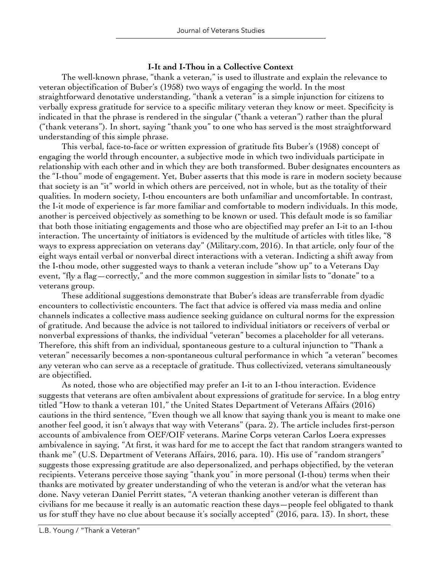#### **I-It and I-Thou in a Collective Context**

The well-known phrase, "thank a veteran," is used to illustrate and explain the relevance to veteran objectification of Buber's (1958) two ways of engaging the world. In the most straightforward denotative understanding, "thank a veteran" is a simple injunction for citizens to verbally express gratitude for service to a specific military veteran they know or meet. Specificity is indicated in that the phrase is rendered in the singular ("thank a veteran") rather than the plural ("thank veterans"). In short, saying "thank you" to one who has served is the most straightforward understanding of this simple phrase.

This verbal, face-to-face or written expression of gratitude fits Buber's (1958) concept of engaging the world through encounter, a subjective mode in which two individuals participate in relationship with each other and in which they are both transformed. Buber designates encounters as the "I-thou" mode of engagement. Yet, Buber asserts that this mode is rare in modern society because that society is an "it" world in which others are perceived, not in whole, but as the totality of their qualities. In modern society, I-thou encounters are both unfamiliar and uncomfortable. In contrast, the I-it mode of experience is far more familiar and comfortable to modern individuals. In this mode, another is perceived objectively as something to be known or used. This default mode is so familiar that both those initiating engagements and those who are objectified may prefer an I-it to an I-thou interaction. The uncertainty of initiators is evidenced by the multitude of articles with titles like, "8 ways to express appreciation on veterans day" (Military.com, 2016). In that article, only four of the eight ways entail verbal or nonverbal direct interactions with a veteran. Indicting a shift away from the I-thou mode, other suggested ways to thank a veteran include "show up" to a Veterans Day event, "fly a flag—correctly," and the more common suggestion in similar lists to "donate" to a veterans group.

These additional suggestions demonstrate that Buber's ideas are transferrable from dyadic encounters to collectivistic encounters. The fact that advice is offered via mass media and online channels indicates a collective mass audience seeking guidance on cultural norms for the expression of gratitude. And because the advice is not tailored to individual initiators or receivers of verbal or nonverbal expressions of thanks, the individual "veteran" becomes a placeholder for all veterans. Therefore, this shift from an individual, spontaneous gesture to a cultural injunction to "Thank a veteran" necessarily becomes a non-spontaneous cultural performance in which "a veteran" becomes any veteran who can serve as a receptacle of gratitude. Thus collectivized, veterans simultaneously are objectified.

As noted, those who are objectified may prefer an I-it to an I-thou interaction. Evidence suggests that veterans are often ambivalent about expressions of gratitude for service. In a blog entry titled "How to thank a veteran 101," the United States Department of Veterans Affairs (2016) cautions in the third sentence, "Even though we all know that saying thank you is meant to make one another feel good, it isn't always that way with Veterans" (para. 2). The article includes first-person accounts of ambivalence from OEF/OIF veterans. Marine Corps veteran Carlos Loera expresses ambivalence in saying, "At first, it was hard for me to accept the fact that random strangers wanted to thank me" (U.S. Department of Veterans Affairs, 2016, para. 10). His use of "random strangers" suggests those expressing gratitude are also depersonalized, and perhaps objectified, by the veteran recipients. Veterans perceive those saying "thank you" in more personal (I-thou) terms when their thanks are motivated by greater understanding of who the veteran is and/or what the veteran has done. Navy veteran Daniel Perritt states, "A veteran thanking another veteran is different than civilians for me because it really is an automatic reaction these days—people feel obligated to thank us for stuff they have no clue about because it's socially accepted" (2016, para. 13). In short, these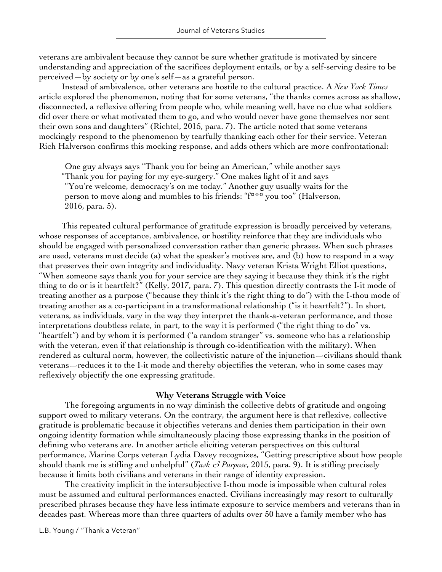veterans are ambivalent because they cannot be sure whether gratitude is motivated by sincere understanding and appreciation of the sacrifices deployment entails, or by a self-serving desire to be perceived—by society or by one's self—as a grateful person.

Instead of ambivalence, other veterans are hostile to the cultural practice. A *New York Times* article explored the phenomenon, noting that for some veterans, "the thanks comes across as shallow, disconnected, a reflexive offering from people who, while meaning well, have no clue what soldiers did over there or what motivated them to go, and who would never have gone themselves nor sent their own sons and daughters" (Richtel, 2015, para. 7). The article noted that some veterans mockingly respond to the phenomenon by tearfully thanking each other for their service. Veteran Rich Halverson confirms this mocking response, and adds others which are more confrontational:

One guy always says "Thank you for being an American," while another says "Thank you for paying for my eye-surgery." One makes light of it and says "You're welcome, democracy's on me today." Another guy usually waits for the person to move along and mumbles to his friends: "f\*\*\* you too" (Halverson, 2016, para. 5).

This repeated cultural performance of gratitude expression is broadly perceived by veterans, whose responses of acceptance, ambivalence, or hostility reinforce that they are individuals who should be engaged with personalized conversation rather than generic phrases. When such phrases are used, veterans must decide (a) what the speaker's motives are, and (b) how to respond in a way that preserves their own integrity and individuality. Navy veteran Krista Wright Elliot questions, "When someone says thank you for your service are they saying it because they think it's the right thing to do or is it heartfelt?" (Kelly, 2017, para. 7). This question directly contrasts the I-it mode of treating another as a purpose ("because they think it's the right thing to do") with the I-thou mode of treating another as a co-participant in a transformational relationship ("is it heartfelt?"). In short, veterans, as individuals, vary in the way they interpret the thank-a-veteran performance, and those interpretations doubtless relate, in part, to the way it is performed ("the right thing to do" vs. "heartfelt") and by whom it is performed ("a random stranger" vs. someone who has a relationship with the veteran, even if that relationship is through co-identification with the military). When rendered as cultural norm, however, the collectivistic nature of the injunction—civilians should thank veterans—reduces it to the I-it mode and thereby objectifies the veteran, who in some cases may reflexively objectify the one expressing gratitude.

#### **Why Veterans Struggle with Voice**

The foregoing arguments in no way diminish the collective debts of gratitude and ongoing support owed to military veterans. On the contrary, the argument here is that reflexive, collective gratitude is problematic because it objectifies veterans and denies them participation in their own ongoing identity formation while simultaneously placing those expressing thanks in the position of defining who veterans are. In another article eliciting veteran perspectives on this cultural performance, Marine Corps veteran Lydia Davey recognizes, "Getting prescriptive about how people should thank me is stifling and unhelpful" (*Task & Purpose*, 2015, para. 9). It is stifling precisely because it limits both civilians and veterans in their range of identity expression.

The creativity implicit in the intersubjective I-thou mode is impossible when cultural roles must be assumed and cultural performances enacted. Civilians increasingly may resort to culturally prescribed phrases because they have less intimate exposure to service members and veterans than in decades past. Whereas more than three quarters of adults over 50 have a family member who has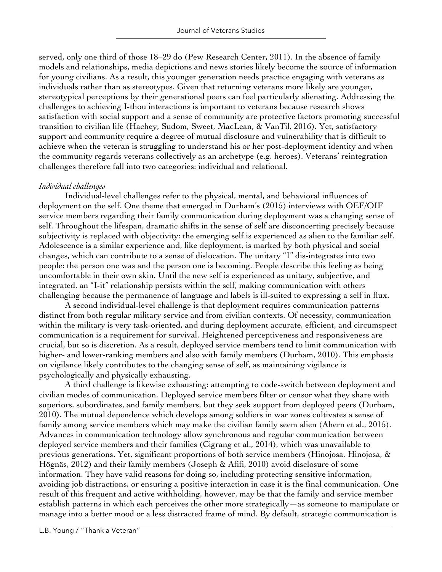served, only one third of those 18–29 do (Pew Research Center, 2011). In the absence of family models and relationships, media depictions and news stories likely become the source of information for young civilians. As a result, this younger generation needs practice engaging with veterans as individuals rather than as stereotypes. Given that returning veterans more likely are younger, stereotypical perceptions by their generational peers can feel particularly alienating. Addressing the challenges to achieving I-thou interactions is important to veterans because research shows satisfaction with social support and a sense of community are protective factors promoting successful transition to civilian life (Hachey, Sudom, Sweet, MacLean, & VanTil, 2016). Yet, satisfactory support and community require a degree of mutual disclosure and vulnerability that is difficult to achieve when the veteran is struggling to understand his or her post-deployment identity and when the community regards veterans collectively as an archetype (e.g. heroes). Veterans' reintegration challenges therefore fall into two categories: individual and relational.

## *Individual challenges*

Individual-level challenges refer to the physical, mental, and behavioral influences of deployment on the self. One theme that emerged in Durham's (2015) interviews with OEF/OIF service members regarding their family communication during deployment was a changing sense of self. Throughout the lifespan, dramatic shifts in the sense of self are disconcerting precisely because subjectivity is replaced with objectivity: the emerging self is experienced as alien to the familiar self. Adolescence is a similar experience and, like deployment, is marked by both physical and social changes, which can contribute to a sense of dislocation. The unitary "I" dis-integrates into two people: the person one was and the person one is becoming. People describe this feeling as being uncomfortable in their own skin. Until the new self is experienced as unitary, subjective, and integrated, an "I-it" relationship persists within the self, making communication with others challenging because the permanence of language and labels is ill-suited to expressing a self in flux.

A second individual-level challenge is that deployment requires communication patterns distinct from both regular military service and from civilian contexts. Of necessity, communication within the military is very task-oriented, and during deployment accurate, efficient, and circumspect communication is a requirement for survival. Heightened perceptiveness and responsiveness are crucial, but so is discretion. As a result, deployed service members tend to limit communication with higher- and lower-ranking members and also with family members (Durham, 2010). This emphasis on vigilance likely contributes to the changing sense of self, as maintaining vigilance is psychologically and physically exhausting.

A third challenge is likewise exhausting: attempting to code-switch between deployment and civilian modes of communication. Deployed service members filter or censor what they share with superiors, subordinates, and family members, but they seek support from deployed peers (Durham, 2010). The mutual dependence which develops among soldiers in war zones cultivates a sense of family among service members which may make the civilian family seem alien (Ahern et al., 2015). Advances in communication technology allow synchronous and regular communication between deployed service members and their families (Cigrang et al., 2014), which was unavailable to previous generations. Yet, significant proportions of both service members (Hinojosa, Hinojosa, & Högnäs, 2012) and their family members (Joseph & Afifi, 2010) avoid disclosure of some information. They have valid reasons for doing so, including protecting sensitive information, avoiding job distractions, or ensuring a positive interaction in case it is the final communication. One result of this frequent and active withholding, however, may be that the family and service member establish patterns in which each perceives the other more strategically—as someone to manipulate or manage into a better mood or a less distracted frame of mind. By default, strategic communication is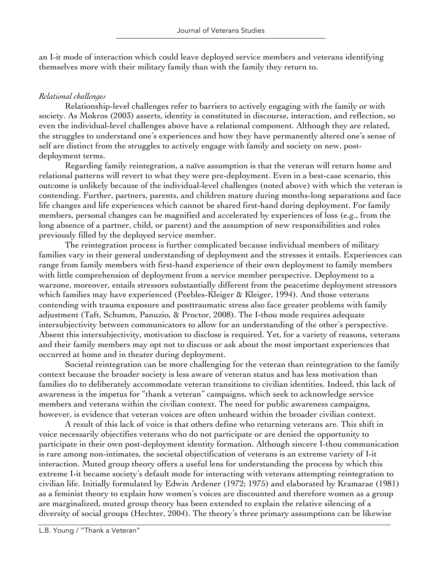an I-it mode of interaction which could leave deployed service members and veterans identifying themselves more with their military family than with the family they return to.

## *Relational challenges*

Relationship-level challenges refer to barriers to actively engaging with the family or with society. As Mokros (2003) asserts, identity is constituted in discourse, interaction, and reflection, so even the individual-level challenges above have a relational component. Although they are related, the struggles to understand one's experiences and how they have permanently altered one's sense of self are distinct from the struggles to actively engage with family and society on new, postdeployment terms.

Regarding family reintegration, a naïve assumption is that the veteran will return home and relational patterns will revert to what they were pre-deployment. Even in a best-case scenario, this outcome is unlikely because of the individual-level challenges (noted above) with which the veteran is contending. Further, partners, parents, and children mature during months-long separations and face life changes and life experiences which cannot be shared first-hand during deployment. For family members, personal changes can be magnified and accelerated by experiences of loss (e.g., from the long absence of a partner, child, or parent) and the assumption of new responsibilities and roles previously filled by the deployed service member.

The reintegration process is further complicated because individual members of military families vary in their general understanding of deployment and the stresses it entails. Experiences can range from family members with first-hand experience of their own deployment to family members with little comprehension of deployment from a service member perspective. Deployment to a warzone, moreover, entails stressors substantially different from the peacetime deployment stressors which families may have experienced (Peebles-Kleiger & Kleiger, 1994). And those veterans contending with trauma exposure and posttraumatic stress also face greater problems with family adjustment (Taft, Schumm, Panuzio, & Proctor, 2008). The I-thou mode requires adequate intersubjectivity between communicators to allow for an understanding of the other's perspective. Absent this intersubjectivity, motivation to disclose is required. Yet, for a variety of reasons, veterans and their family members may opt not to discuss or ask about the most important experiences that occurred at home and in theater during deployment.

Societal reintegration can be more challenging for the veteran than reintegration to the family context because the broader society is less aware of veteran status and has less motivation than families do to deliberately accommodate veteran transitions to civilian identities. Indeed, this lack of awareness is the impetus for "thank a veteran" campaigns, which seek to acknowledge service members and veterans within the civilian context. The need for public awareness campaigns, however, is evidence that veteran voices are often unheard within the broader civilian context.

A result of this lack of voice is that others define who returning veterans are. This shift in voice necessarily objectifies veterans who do not participate or are denied the opportunity to participate in their own post-deployment identity formation. Although sincere I-thou communication is rare among non-intimates, the societal objectification of veterans is an extreme variety of I-it interaction. Muted group theory offers a useful lens for understanding the process by which this extreme I-it became society's default mode for interacting with veterans attempting reintegration to civilian life. Initially formulated by Edwin Ardener (1972; 1975) and elaborated by Kramarae (1981) as a feminist theory to explain how women's voices are discounted and therefore women as a group are marginalized, muted group theory has been extended to explain the relative silencing of a diversity of social groups (Hechter, 2004). The theory's three primary assumptions can be likewise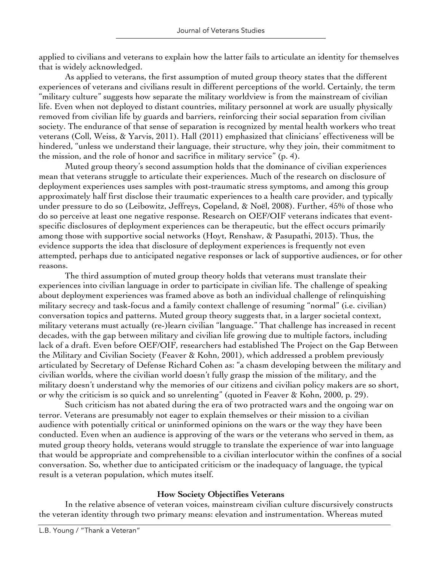applied to civilians and veterans to explain how the latter fails to articulate an identity for themselves that is widely acknowledged.

As applied to veterans, the first assumption of muted group theory states that the different experiences of veterans and civilians result in different perceptions of the world. Certainly, the term "military culture" suggests how separate the military worldview is from the mainstream of civilian life. Even when not deployed to distant countries, military personnel at work are usually physically removed from civilian life by guards and barriers, reinforcing their social separation from civilian society. The endurance of that sense of separation is recognized by mental health workers who treat veterans (Coll, Weiss, & Yarvis, 2011). Hall (2011) emphasized that clinicians' effectiveness will be hindered, "unless we understand their language, their structure, why they join, their commitment to the mission, and the role of honor and sacrifice in military service" (p. 4).

Muted group theory's second assumption holds that the dominance of civilian experiences mean that veterans struggle to articulate their experiences. Much of the research on disclosure of deployment experiences uses samples with post-traumatic stress symptoms, and among this group approximately half first disclose their traumatic experiences to a health care provider, and typically under pressure to do so (Leibowitz, Jeffreys, Copeland, & Noël, 2008). Further, 45% of those who do so perceive at least one negative response. Research on OEF/OIF veterans indicates that eventspecific disclosures of deployment experiences can be therapeutic, but the effect occurs primarily among those with supportive social networks (Hoyt, Renshaw, & Pasupathi, 2013). Thus, the evidence supports the idea that disclosure of deployment experiences is frequently not even attempted, perhaps due to anticipated negative responses or lack of supportive audiences, or for other reasons.

The third assumption of muted group theory holds that veterans must translate their experiences into civilian language in order to participate in civilian life. The challenge of speaking about deployment experiences was framed above as both an individual challenge of relinquishing military secrecy and task-focus and a family context challenge of resuming "normal" (i.e. civilian) conversation topics and patterns. Muted group theory suggests that, in a larger societal context, military veterans must actually (re-)learn civilian "language." That challenge has increased in recent decades, with the gap between military and civilian life growing due to multiple factors, including lack of a draft. Even before OEF/OIF, researchers had established The Project on the Gap Between the Military and Civilian Society (Feaver & Kohn, 2001), which addressed a problem previously articulated by Secretary of Defense Richard Cohen as: "a chasm developing between the military and civilian worlds, where the civilian world doesn't fully grasp the mission of the military, and the military doesn't understand why the memories of our citizens and civilian policy makers are so short, or why the criticism is so quick and so unrelenting" (quoted in Feaver & Kohn, 2000, p. 29).

Such criticism has not abated during the era of two protracted wars and the ongoing war on terror. Veterans are presumably not eager to explain themselves or their mission to a civilian audience with potentially critical or uninformed opinions on the wars or the way they have been conducted. Even when an audience is approving of the wars or the veterans who served in them, as muted group theory holds, veterans would struggle to translate the experience of war into language that would be appropriate and comprehensible to a civilian interlocutor within the confines of a social conversation. So, whether due to anticipated criticism or the inadequacy of language, the typical result is a veteran population, which mutes itself.

## **How Society Objectifies Veterans**

In the relative absence of veteran voices, mainstream civilian culture discursively constructs the veteran identity through two primary means: elevation and instrumentation. Whereas muted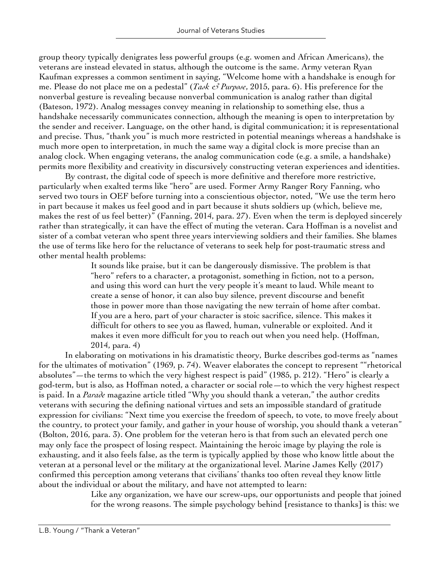group theory typically denigrates less powerful groups (e.g. women and African Americans), the veterans are instead elevated in status, although the outcome is the same. Army veteran Ryan Kaufman expresses a common sentiment in saying, "Welcome home with a handshake is enough for me. Please do not place me on a pedestal" (*Task & Purpose*, 2015, para. 6). His preference for the nonverbal gesture is revealing because nonverbal communication is analog rather than digital (Bateson, 1972). Analog messages convey meaning in relationship to something else, thus a handshake necessarily communicates connection, although the meaning is open to interpretation by the sender and receiver. Language, on the other hand, is digital communication; it is representational and precise. Thus, "thank you" is much more restricted in potential meanings whereas a handshake is much more open to interpretation, in much the same way a digital clock is more precise than an analog clock. When engaging veterans, the analog communication code (e.g. a smile, a handshake) permits more flexibility and creativity in discursively constructing veteran experiences and identities.

By contrast, the digital code of speech is more definitive and therefore more restrictive, particularly when exalted terms like "hero" are used. Former Army Ranger Rory Fanning, who served two tours in OEF before turning into a conscientious objector, noted, "We use the term hero in part because it makes us feel good and in part because it shuts soldiers up (which, believe me, makes the rest of us feel better)" (Fanning, 2014, para. 27). Even when the term is deployed sincerely rather than strategically, it can have the effect of muting the veteran. Cara Hoffman is a novelist and sister of a combat veteran who spent three years interviewing soldiers and their families. She blames the use of terms like hero for the reluctance of veterans to seek help for post-traumatic stress and other mental health problems:

It sounds like praise, but it can be dangerously dismissive. The problem is that "hero" refers to a character, a protagonist, something in fiction, not to a person, and using this word can hurt the very people it's meant to laud. While meant to create a sense of honor, it can also buy silence, prevent discourse and benefit those in power more than those navigating the new terrain of home after combat. If you are a hero, part of your character is stoic sacrifice, silence. This makes it difficult for others to see you as flawed, human, vulnerable or exploited. And it makes it even more difficult for you to reach out when you need help. (Hoffman, 2014, para. 4)

In elaborating on motivations in his dramatistic theory, Burke describes god-terms as "names for the ultimates of motivation" (1969, p. 74). Weaver elaborates the concept to represent ""rhetorical absolutes"—the terms to which the very highest respect is paid" (1985, p. 212). "Hero" is clearly a god-term, but is also, as Hoffman noted, a character or social role—to which the very highest respect is paid. In a *Parade* magazine article titled "Why you should thank a veteran," the author credits veterans with securing the defining national virtues and sets an impossible standard of gratitude expression for civilians: "Next time you exercise the freedom of speech, to vote, to move freely about the country, to protect your family, and gather in your house of worship, you should thank a veteran" (Bolton, 2016, para. 3). One problem for the veteran hero is that from such an elevated perch one may only face the prospect of losing respect. Maintaining the heroic image by playing the role is exhausting, and it also feels false, as the term is typically applied by those who know little about the veteran at a personal level or the military at the organizational level. Marine James Kelly (2017) confirmed this perception among veterans that civilians' thanks too often reveal they know little about the individual or about the military, and have not attempted to learn:

Like any organization, we have our screw-ups, our opportunists and people that joined for the wrong reasons. The simple psychology behind [resistance to thanks] is this: we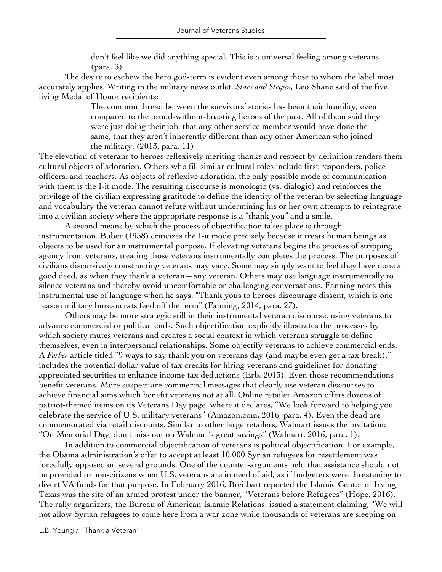don't feel like we did anything special. This is a universal feeling among veterans. (para. 3)

The desire to eschew the hero god-term is evident even among those to whom the label most accurately applies. Writing in the military news outlet, *Stars and Stripes*, Leo Shane said of the five living Medal of Honor recipients:

The common thread between the survivors' stories has been their humility, even compared to the proud-without-boasting heroes of the past. All of them said they were just doing their job, that any other service member would have done the same, that they aren't inherently different than any other American who joined the military. (2013, para. 11)

The elevation of veterans to heroes reflexively meriting thanks and respect by definition renders them cultural objects of adoration. Others who fill similar cultural roles include first responders, police officers, and teachers. As objects of reflexive adoration, the only possible mode of communication with them is the I-it mode. The resulting discourse is monologic (vs. dialogic) and reinforces the privilege of the civilian expressing gratitude to define the identity of the veteran by selecting language and vocabulary the veteran cannot refute without undermining his or her own attempts to reintegrate into a civilian society where the appropriate response is a "thank you" and a smile.

A second means by which the process of objectification takes place is through instrumentation. Buber (1958) criticizes the I-it mode precisely because it treats human beings as objects to be used for an instrumental purpose. If elevating veterans begins the process of stripping agency from veterans, treating those veterans instrumentally completes the process. The purposes of civilians discursively constructing veterans may vary. Some may simply want to feel they have done a good deed, as when they thank a veteran—any veteran. Others may use language instrumentally to silence veterans and thereby avoid uncomfortable or challenging conversations. Fanning notes this instrumental use of language when he says, "Thank yous to heroes discourage dissent, which is one reason military bureaucrats feed off the term" (Fanning, 2014, para. 27).

Others may be more strategic still in their instrumental veteran discourse, using veterans to advance commercial or political ends. Such objectification explicitly illustrates the processes by which society mutes veterans and creates a social context in which veterans struggle to define themselves, even in interpersonal relationships. Some objectify veterans to achieve commercial ends. A *Forbes* article titled "9 ways to say thank you on veterans day (and maybe even get a tax break)," includes the potential dollar value of tax credits for hiring veterans and guidelines for donating appreciated securities to enhance income tax deductions (Erb, 2013). Even those recommendations benefit veterans. More suspect are commercial messages that clearly use veteran discourses to achieve financial aims which benefit veterans not at all. Online retailer Amazon offers dozens of patriot-themed items on its Veterans Day page, where it declares, "We look forward to helping you celebrate the service of U.S. military veterans" (Amazon.com, 2016, para. 4). Even the dead are commemorated via retail discounts. Similar to other large retailers, Walmart issues the invitation: "On Memorial Day, don't miss out on Walmart's great savings" (Walmart, 2016, para. 1).

In addition to commercial objectification of veterans is political objectification. For example, the Obama administration's offer to accept at least 10,000 Syrian refugees for resettlement was forcefully opposed on several grounds. One of the counter-arguments held that assistance should not be provided to non-citizens when U.S. veterans are in need of aid, as if budgeters were threatening to divert VA funds for that purpose. In February 2016, Breitbart reported the Islamic Center of Irving, Texas was the site of an armed protest under the banner, "Veterans before Refugees" (Hope, 2016). The rally organizers, the Bureau of American Islamic Relations, issued a statement claiming, "We will not allow Syrian refugees to come here from a war zone while thousands of veterans are sleeping on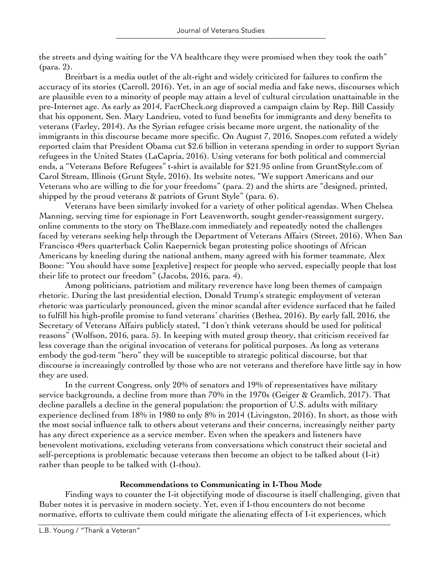the streets and dying waiting for the VA healthcare they were promised when they took the oath" (para. 2).

Breitbart is a media outlet of the alt-right and widely criticized for failures to confirm the accuracy of its stories (Carroll, 2016). Yet, in an age of social media and fake news, discourses which are plausible even to a minority of people may attain a level of cultural circulation unattainable in the pre-Internet age. As early as 2014, FactCheck.org disproved a campaign claim by Rep. Bill Cassidy that his opponent, Sen. Mary Landrieu, voted to fund benefits for immigrants and deny benefits to veterans (Farley, 2014). As the Syrian refugee crisis became more urgent, the nationality of the immigrants in this discourse became more specific. On August 7, 2016, Snopes.com refuted a widely reported claim that President Obama cut \$2.6 billion in veterans spending in order to support Syrian refugees in the United States (LaCapria, 2016). Using veterans for both political and commercial ends, a "Veterans Before Refugees" t-shirt is available for \$21.95 online from GruntStyle.com of Carol Stream, Illinois (Grunt Style, 2016). Its website notes, "We support Americans and our Veterans who are willing to die for your freedoms" (para. 2) and the shirts are "designed, printed, shipped by the proud veterans & patriots of Grunt Style" (para. 6).

Veterans have been similarly invoked for a variety of other political agendas. When Chelsea Manning, serving time for espionage in Fort Leavenworth, sought gender-reassignment surgery, online comments to the story on TheBlaze.com immediately and repeatedly noted the challenges faced by veterans seeking help through the Department of Veterans Affairs (Street, 2016). When San Francisco 49ers quarterback Colin Kaepernick began protesting police shootings of African Americans by kneeling during the national anthem, many agreed with his former teammate, Alex Boone: "You should have some [expletive] respect for people who served, especially people that lost their life to protect our freedom" (Jacobs, 2016, para. 4).

Among politicians, patriotism and military reverence have long been themes of campaign rhetoric. During the last presidential election, Donald Trump's strategic employment of veteran rhetoric was particularly pronounced, given the minor scandal after evidence surfaced that he failed to fulfill his high-profile promise to fund veterans' charities (Bethea, 2016). By early fall, 2016, the Secretary of Veterans Affairs publicly stated, "I don't think veterans should be used for political reasons" (Wolfson, 2016, para. 5). In keeping with muted group theory, that criticism received far less coverage than the original invocation of veterans for political purposes. As long as veterans embody the god-term "hero" they will be susceptible to strategic political discourse, but that discourse is increasingly controlled by those who are not veterans and therefore have little say in how they are used.

In the current Congress, only 20% of senators and 19% of representatives have military service backgrounds, a decline from more than 70% in the 1970s (Geiger & Gramlich, 2017). That decline parallels a decline in the general population: the proportion of U.S. adults with military experience declined from 18% in 1980 to only 8% in 2014 (Livingston, 2016). In short, as those with the most social influence talk to others about veterans and their concerns, increasingly neither party has any direct experience as a service member. Even when the speakers and listeners have benevolent motivations, excluding veterans from conversations which construct their societal and self-perceptions is problematic because veterans then become an object to be talked about (I-it) rather than people to be talked with (I-thou).

## **Recommendations to Communicating in I-Thou Mode**

Finding ways to counter the I-it objectifying mode of discourse is itself challenging, given that Buber notes it is pervasive in modern society. Yet, even if I-thou encounters do not become normative, efforts to cultivate them could mitigate the alienating effects of I-it experiences, which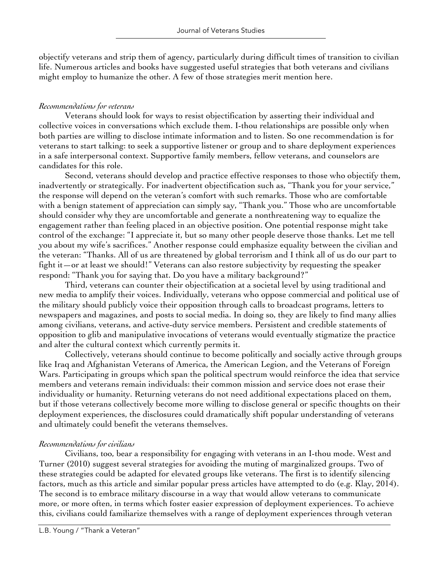objectify veterans and strip them of agency, particularly during difficult times of transition to civilian life. Numerous articles and books have suggested useful strategies that both veterans and civilians might employ to humanize the other. A few of those strategies merit mention here.

### *Recommendations for veterans*

Veterans should look for ways to resist objectification by asserting their individual and collective voices in conversations which exclude them. I-thou relationships are possible only when both parties are willing to disclose intimate information and to listen. So one recommendation is for veterans to start talking: to seek a supportive listener or group and to share deployment experiences in a safe interpersonal context. Supportive family members, fellow veterans, and counselors are candidates for this role.

Second, veterans should develop and practice effective responses to those who objectify them, inadvertently or strategically. For inadvertent objectification such as, "Thank you for your service," the response will depend on the veteran's comfort with such remarks. Those who are comfortable with a benign statement of appreciation can simply say, "Thank you." Those who are uncomfortable should consider why they are uncomfortable and generate a nonthreatening way to equalize the engagement rather than feeling placed in an objective position. One potential response might take control of the exchange: "I appreciate it, but so many other people deserve those thanks. Let me tell you about my wife's sacrifices." Another response could emphasize equality between the civilian and the veteran: "Thanks. All of us are threatened by global terrorism and I think all of us do our part to fight it—or at least we should!" Veterans can also restore subjectivity by requesting the speaker respond: "Thank you for saying that. Do you have a military background?"

Third, veterans can counter their objectification at a societal level by using traditional and new media to amplify their voices. Individually, veterans who oppose commercial and political use of the military should publicly voice their opposition through calls to broadcast programs, letters to newspapers and magazines, and posts to social media. In doing so, they are likely to find many allies among civilians, veterans, and active-duty service members. Persistent and credible statements of opposition to glib and manipulative invocations of veterans would eventually stigmatize the practice and alter the cultural context which currently permits it.

Collectively, veterans should continue to become politically and socially active through groups like Iraq and Afghanistan Veterans of America, the American Legion, and the Veterans of Foreign Wars. Participating in groups which span the political spectrum would reinforce the idea that service members and veterans remain individuals: their common mission and service does not erase their individuality or humanity. Returning veterans do not need additional expectations placed on them, but if those veterans collectively become more willing to disclose general or specific thoughts on their deployment experiences, the disclosures could dramatically shift popular understanding of veterans and ultimately could benefit the veterans themselves.

## *Recommendations for civilians*

Civilians, too, bear a responsibility for engaging with veterans in an I-thou mode. West and Turner (2010) suggest several strategies for avoiding the muting of marginalized groups. Two of these strategies could be adapted for elevated groups like veterans. The first is to identify silencing factors, much as this article and similar popular press articles have attempted to do (e.g. Klay, 2014). The second is to embrace military discourse in a way that would allow veterans to communicate more, or more often, in terms which foster easier expression of deployment experiences. To achieve this, civilians could familiarize themselves with a range of deployment experiences through veteran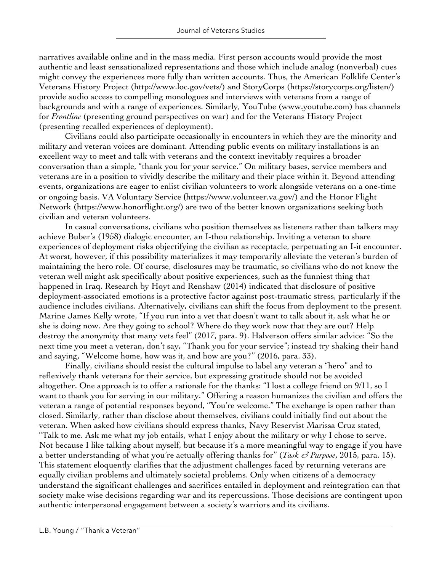narratives available online and in the mass media. First person accounts would provide the most authentic and least sensationalized representations and those which include analog (nonverbal) cues might convey the experiences more fully than written accounts. Thus, the American Folklife Center's Veterans History Project (http://www.loc.gov/vets/) and StoryCorps (https://storycorps.org/listen/) provide audio access to compelling monologues and interviews with veterans from a range of backgrounds and with a range of experiences. Similarly, YouTube (www.youtube.com) has channels for *Frontline* (presenting ground perspectives on war) and for the Veterans History Project (presenting recalled experiences of deployment).

Civilians could also participate occasionally in encounters in which they are the minority and military and veteran voices are dominant. Attending public events on military installations is an excellent way to meet and talk with veterans and the context inevitably requires a broader conversation than a simple, "thank you for your service." On military bases, service members and veterans are in a position to vividly describe the military and their place within it. Beyond attending events, organizations are eager to enlist civilian volunteers to work alongside veterans on a one-time or ongoing basis. VA Voluntary Service (https://www.volunteer.va.gov/) and the Honor Flight Network (https://www.honorflight.org/) are two of the better known organizations seeking both civilian and veteran volunteers.

In casual conversations, civilians who position themselves as listeners rather than talkers may achieve Buber's (1958) dialogic encounter, an I-thou relationship. Inviting a veteran to share experiences of deployment risks objectifying the civilian as receptacle, perpetuating an I-it encounter. At worst, however, if this possibility materializes it may temporarily alleviate the veteran's burden of maintaining the hero role. Of course, disclosures may be traumatic, so civilians who do not know the veteran well might ask specifically about positive experiences, such as the funniest thing that happened in Iraq. Research by Hoyt and Renshaw (2014) indicated that disclosure of positive deployment-associated emotions is a protective factor against post-traumatic stress, particularly if the audience includes civilians. Alternatively, civilians can shift the focus from deployment to the present. Marine James Kelly wrote, "If you run into a vet that doesn't want to talk about it, ask what he or she is doing now. Are they going to school? Where do they work now that they are out? Help destroy the anonymity that many vets feel" (2017, para. 9). Halverson offers similar advice: "So the next time you meet a veteran, don't say, "Thank you for your service"; instead try shaking their hand and saying, "Welcome home, how was it, and how are you?" (2016, para. 33).

Finally, civilians should resist the cultural impulse to label any veteran a "hero" and to reflexively thank veterans for their service, but expressing gratitude should not be avoided altogether. One approach is to offer a rationale for the thanks: "I lost a college friend on 9/11, so I want to thank you for serving in our military." Offering a reason humanizes the civilian and offers the veteran a range of potential responses beyond, "You're welcome." The exchange is open rather than closed. Similarly, rather than disclose about themselves, civilians could initially find out about the veteran. When asked how civilians should express thanks, Navy Reservist Marissa Cruz stated, "Talk to me. Ask me what my job entails, what I enjoy about the military or why I chose to serve. Not because I like talking about myself, but because it's a more meaningful way to engage if you have a better understanding of what you're actually offering thanks for" (*Task & Purpose*, 2015, para. 15). This statement eloquently clarifies that the adjustment challenges faced by returning veterans are equally civilian problems and ultimately societal problems. Only when citizens of a democracy understand the significant challenges and sacrifices entailed in deployment and reintegration can that society make wise decisions regarding war and its repercussions. Those decisions are contingent upon authentic interpersonal engagement between a society's warriors and its civilians.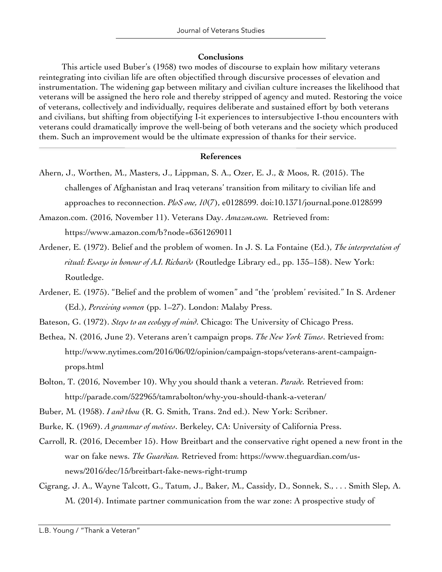#### **Conclusions**

This article used Buber's (1958) two modes of discourse to explain how military veterans reintegrating into civilian life are often objectified through discursive processes of elevation and instrumentation. The widening gap between military and civilian culture increases the likelihood that veterans will be assigned the hero role and thereby stripped of agency and muted. Restoring the voice of veterans, collectively and individually, requires deliberate and sustained effort by both veterans and civilians, but shifting from objectifying I-it experiences to intersubjective I-thou encounters with veterans could dramatically improve the well-being of both veterans and the society which produced them. Such an improvement would be the ultimate expression of thanks for their service.

#### **References**

Ahern, J., Worthen, M., Masters, J., Lippman, S. A., Ozer, E. J., & Moos, R. (2015). The challenges of Afghanistan and Iraq veterans' transition from military to civilian life and approaches to reconnection. *PloS one, 10*(7), e0128599. doi:10.1371/journal.pone.0128599

Amazon.com. (2016, November 11). Veterans Day. *Amazon.com.* Retrieved from: https://www.amazon.com/b?node=6361269011

- Ardener, E. (1972). Belief and the problem of women. In J. S. La Fontaine (Ed.), *The interpretation of ritual: Essays in honour of A.I. Richards* (Routledge Library ed., pp. 135–158). New York: Routledge.
- Ardener, E. (1975). "Belief and the problem of women" and "the 'problem' revisited." In S. Ardener (Ed.), *Perceiving women* (pp. 1–27). London: Malaby Press.

Bateson, G. (1972). *Steps to an ecology of mind*. Chicago: The University of Chicago Press.

- Bethea, N. (2016, June 2). Veterans aren't campaign props. *The New York Times*. Retrieved from: http://www.nytimes.com/2016/06/02/opinion/campaign-stops/veterans-arent-campaignprops.html
- Bolton, T. (2016, November 10). Why you should thank a veteran. *Parade.* Retrieved from: http://parade.com/522965/tamrabolton/why-you-should-thank-a-veteran/

Buber, M. (1958). *I and thou* (R. G. Smith, Trans. 2nd ed.). New York: Scribner.

Burke, K. (1969). *A grammar of motives*. Berkeley, CA: University of California Press.

- Carroll, R. (2016, December 15). How Breitbart and the conservative right opened a new front in the war on fake news. *The Guardian.* Retrieved from: https://www.theguardian.com/usnews/2016/dec/15/breitbart-fake-news-right-trump
- Cigrang, J. A., Wayne Talcott, G., Tatum, J., Baker, M., Cassidy, D., Sonnek, S., . . . Smith Slep, A. M. (2014). Intimate partner communication from the war zone: A prospective study of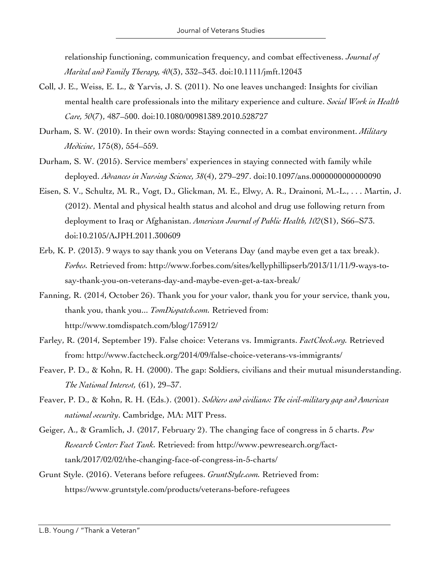relationship functioning, communication frequency, and combat effectiveness. *Journal of Marital and Family Therapy, 40*(3), 332–343. doi:10.1111/jmft.12043

- Coll, J. E., Weiss, E. L., & Yarvis, J. S. (2011). No one leaves unchanged: Insights for civilian mental health care professionals into the military experience and culture. *Social Work in Health Care, 50*(7), 487–500. doi:10.1080/00981389.2010.528727
- Durham, S. W. (2010). In their own words: Staying connected in a combat environment. *Military Medicine*, 175(8), 554–559.
- Durham, S. W. (2015). Service members' experiences in staying connected with family while deployed. *Advances in Nursing Science, 38*(4), 279–297. doi:10.1097/ans.0000000000000090
- Eisen, S. V., Schultz, M. R., Vogt, D., Glickman, M. E., Elwy, A. R., Drainoni, M.-L., . . . Martin, J. (2012). Mental and physical health status and alcohol and drug use following return from deployment to Iraq or Afghanistan. *American Journal of Public Health, 102*(S1), S66–S73. doi:10.2105/AJPH.2011.300609
- Erb, K. P. (2013). 9 ways to say thank you on Veterans Day (and maybe even get a tax break). *Forbes.* Retrieved from: http://www.forbes.com/sites/kellyphillipserb/2013/11/11/9-ways-tosay-thank-you-on-veterans-day-and-maybe-even-get-a-tax-break/
- Fanning, R. (2014, October 26). Thank you for your valor, thank you for your service, thank you, thank you, thank you... *TomDispatch.com.* Retrieved from: http://www.tomdispatch.com/blog/175912/
- Farley, R. (2014, September 19). False choice: Veterans vs. Immigrants. *FactCheck.org.* Retrieved from: http://www.factcheck.org/2014/09/false-choice-veterans-vs-immigrants/
- Feaver, P. D., & Kohn, R. H. (2000). The gap: Soldiers, civilians and their mutual misunderstanding. *The National Interest,* (61), 29–37.
- Feaver, P. D., & Kohn, R. H. (Eds.). (2001). *Soldiers and civilians: The civil-military gap and American national security*. Cambridge, MA: MIT Press.
- Geiger, A., & Gramlich, J. (2017, February 2). The changing face of congress in 5 charts. *Pew Research Center: Fact Tank.* Retrieved: from http://www.pewresearch.org/facttank/2017/02/02/the-changing-face-of-congress-in-5-charts/
- Grunt Style. (2016). Veterans before refugees. *GruntStyle.com.* Retrieved from: https://www.gruntstyle.com/products/veterans-before-refugees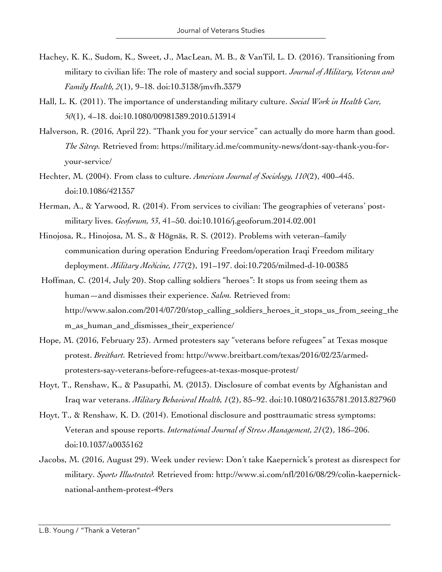- Hachey, K. K., Sudom, K., Sweet, J., MacLean, M. B., & VanTil, L. D. (2016). Transitioning from military to civilian life: The role of mastery and social support. *Journal of Military, Veteran and Family Health, 2*(1), 9–18. doi:10.3138/jmvfh.3379
- Hall, L. K. (2011). The importance of understanding military culture. *Social Work in Health Care, 50*(1), 4–18. doi:10.1080/00981389.2010.513914
- Halverson, R. (2016, April 22). "Thank you for your service" can actually do more harm than good. *The Sitrep.* Retrieved from: https://military.id.me/community-news/dont-say-thank-you-foryour-service/
- Hechter, M. (2004). From class to culture. *American Journal of Sociology, 110*(2), 400–445. doi:10.1086/421357
- Herman, A., & Yarwood, R. (2014). From services to civilian: The geographies of veterans' postmilitary lives. *Geoforum, 53*, 41–50. doi:10.1016/j.geoforum.2014.02.001
- Hinojosa, R., Hinojosa, M. S., & Högnäs, R. S. (2012). Problems with veteran–family communication during operation Enduring Freedom/operation Iraqi Freedom military deployment. *Military Medicine, 177*(2), 191–197. doi:10.7205/milmed-d-10-00385
- Hoffman, C. (2014, July 20). Stop calling soldiers "heroes": It stops us from seeing them as human—and dismisses their experience. *Salon.* Retrieved from: http://www.salon.com/2014/07/20/stop\_calling\_soldiers\_heroes\_it\_stops\_us\_from\_seeing\_the m\_as\_human\_and\_dismisses\_their\_experience/
- Hope, M. (2016, February 23). Armed protesters say "veterans before refugees" at Texas mosque protest. *Breitbart.* Retrieved from: http://www.breitbart.com/texas/2016/02/23/armedprotesters-say-veterans-before-refugees-at-texas-mosque-protest/
- Hoyt, T., Renshaw, K., & Pasupathi, M. (2013). Disclosure of combat events by Afghanistan and Iraq war veterans. *Military Behavioral Health, 1*(2), 85–92. doi:10.1080/21635781.2013.827960
- Hoyt, T., & Renshaw, K. D. (2014). Emotional disclosure and posttraumatic stress symptoms: Veteran and spouse reports. *International Journal of Stress Management, 21*(2), 186–206. doi:10.1037/a0035162
- Jacobs, M. (2016, August 29). Week under review: Don't take Kaepernick's protest as disrespect for military. *Sports Illustrated.* Retrieved from: http://www.si.com/nfl/2016/08/29/colin-kaepernicknational-anthem-protest-49ers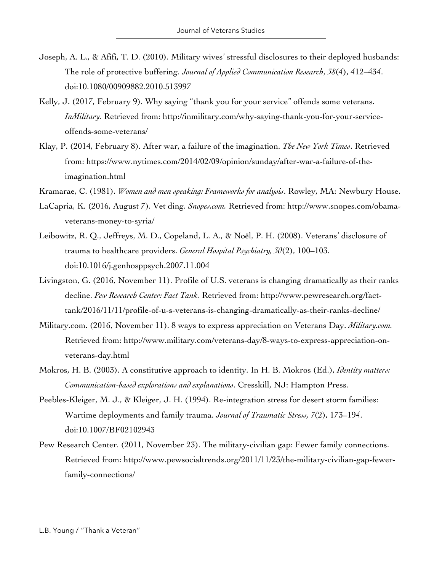- Joseph, A. L., & Afifi, T. D. (2010). Military wives' stressful disclosures to their deployed husbands: The role of protective buffering. *Journal of Applied Communication Research*, *38*(4), 412–434. doi:10.1080/00909882.2010.513997
- Kelly, J. (2017, February 9). Why saying "thank you for your service" offends some veterans. *InMilitary.* Retrieved from: http://inmilitary.com/why-saying-thank-you-for-your-serviceoffends-some-veterans/
- Klay, P. (2014, February 8). After war, a failure of the imagination. *The New York Times*. Retrieved from: https://www.nytimes.com/2014/02/09/opinion/sunday/after-war-a-failure-of-theimagination.html
- Kramarae, C. (1981). *Women and men speaking: Frameworks for analysis*. Rowley, MA: Newbury House.
- LaCapria, K. (2016, August 7). Vet ding. *Snopes.com.* Retrieved from: http://www.snopes.com/obamaveterans-money-to-syria/
- Leibowitz, R. Q., Jeffreys, M. D., Copeland, L. A., & Noël, P. H. (2008). Veterans' disclosure of trauma to healthcare providers. *General Hospital Psychiatry, 30*(2), 100–103. doi:10.1016/j.genhosppsych.2007.11.004
- Livingston, G. (2016, November 11). Profile of U.S. veterans is changing dramatically as their ranks decline. *Pew Research Center: Fact Tank.* Retrieved from: http://www.pewresearch.org/facttank/2016/11/11/profile-of-u-s-veterans-is-changing-dramatically-as-their-ranks-decline/
- Military.com. (2016, November 11). 8 ways to express appreciation on Veterans Day. *Military.com.* Retrieved from: http://www.military.com/veterans-day/8-ways-to-express-appreciation-onveterans-day.html
- Mokros, H. B. (2003). A constitutive approach to identity. In H. B. Mokros (Ed.), *Identity matters: Communication-based explorations and explanations*. Cresskill, NJ: Hampton Press.
- Peebles-Kleiger, M. J., & Kleiger, J. H. (1994). Re-integration stress for desert storm families: Wartime deployments and family trauma. *Journal of Traumatic Stress, 7*(2), 173–194. doi:10.1007/BF02102943
- Pew Research Center. (2011, November 23). The military-civilian gap: Fewer family connections. Retrieved from: http://www.pewsocialtrends.org/2011/11/23/the-military-civilian-gap-fewerfamily-connections/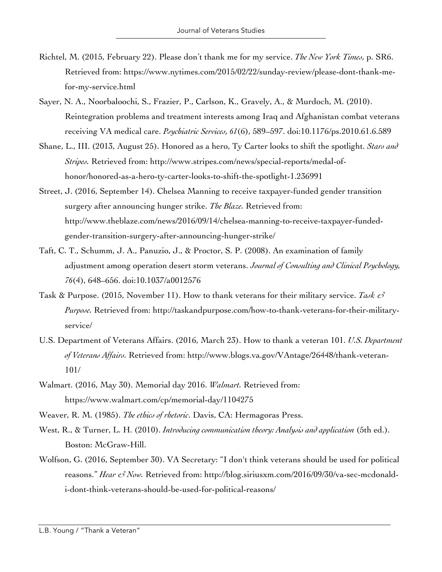- Richtel, M. (2015, February 22). Please don't thank me for my service. *The New York Times,* p. SR6. Retrieved from: https://www.nytimes.com/2015/02/22/sunday-review/please-dont-thank-mefor-my-service.html
- Sayer, N. A., Noorbaloochi, S., Frazier, P., Carlson, K., Gravely, A., & Murdoch, M. (2010). Reintegration problems and treatment interests among Iraq and Afghanistan combat veterans receiving VA medical care. *Psychiatric Services, 61*(6), 589–597. doi:10.1176/ps.2010.61.6.589
- Shane, L., III. (2013, August 25). Honored as a hero, Ty Carter looks to shift the spotlight. *Stars and Stripes.* Retrieved from: http://www.stripes.com/news/special-reports/medal-ofhonor/honored-as-a-hero-ty-carter-looks-to-shift-the-spotlight-1.236991
- Street, J. (2016, September 14). Chelsea Manning to receive taxpayer-funded gender transition surgery after announcing hunger strike. *The Blaze.* Retrieved from: http://www.theblaze.com/news/2016/09/14/chelsea-manning-to-receive-taxpayer-fundedgender-transition-surgery-after-announcing-hunger-strike/
- Taft, C. T., Schumm, J. A., Panuzio, J., & Proctor, S. P. (2008). An examination of family adjustment among operation desert storm veterans. *Journal of Consulting and Clinical Psychology, 76*(4), 648–656. doi:10.1037/a0012576
- Task & Purpose. (2015, November 11). How to thank veterans for their military service. *Task & Purpose.* Retrieved from: http://taskandpurpose.com/how-to-thank-veterans-for-their-militaryservice/
- U.S. Department of Veterans Affairs. (2016, March 23). How to thank a veteran 101. *U.S. Department of Veterans Affairs.* Retrieved from: http://www.blogs.va.gov/VAntage/26448/thank-veteran-101/
- Walmart. (2016, May 30). Memorial day 2016. *Walmart.* Retrieved from: https://www.walmart.com/cp/memorial-day/1104275
- Weaver, R. M. (1985). *The ethics of rhetoric*. Davis, CA: Hermagoras Press.
- West, R., & Turner, L. H. (2010). *Introducing communication theory: Analysis and application* (5th ed.). Boston: McGraw-Hill.
- Wolfson, G. (2016, September 30). VA Secretary: "I don't think veterans should be used for political reasons." *Hear & Now.* Retrieved from: http://blog.siriusxm.com/2016/09/30/va-sec-mcdonaldi-dont-think-veterans-should-be-used-for-political-reasons/